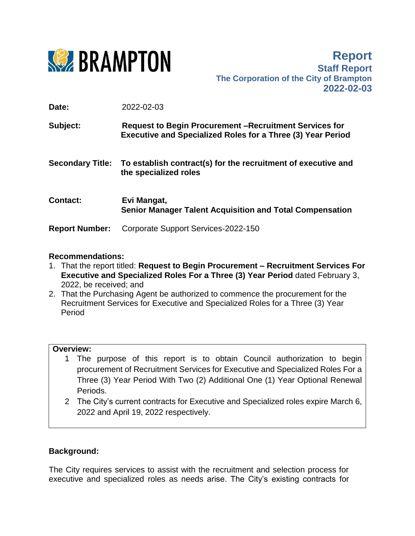

**Report Staff Report The Corporation of the City of Brampton 2022-02-03**

**Date:** 2022-02-03

| Subject:                | <b>Request to Begin Procurement – Recruitment Services for</b><br><b>Executive and Specialized Roles for a Three (3) Year Period</b> |
|-------------------------|--------------------------------------------------------------------------------------------------------------------------------------|
| <b>Secondary Title:</b> | To establish contract(s) for the recruitment of executive and<br>the specialized roles                                               |
| <b>Contact:</b>         | Evi Mangat,<br><b>Senior Manager Talent Acquisition and Total Compensation</b>                                                       |
| <b>Report Number:</b>   | Corporate Support Services-2022-150                                                                                                  |

## **Recommendations:**

- 1. That the report titled: **Request to Begin Procurement – Recruitment Services For Executive and Specialized Roles For a Three (3) Year Period** dated February 3, 2022, be received; and
- 2. That the Purchasing Agent be authorized to commence the procurement for the Recruitment Services for Executive and Specialized Roles for a Three (3) Year Period

## **Overview:**

- 1 The purpose of this report is to obtain Council authorization to begin procurement of Recruitment Services for Executive and Specialized Roles For a Three (3) Year Period With Two (2) Additional One (1) Year Optional Renewal Periods.
- 2 The City's current contracts for Executive and Specialized roles expire March 6, 2022 and April 19, 2022 respectively.

## **Background:**

The City requires services to assist with the recruitment and selection process for executive and specialized roles as needs arise. The City's existing contracts for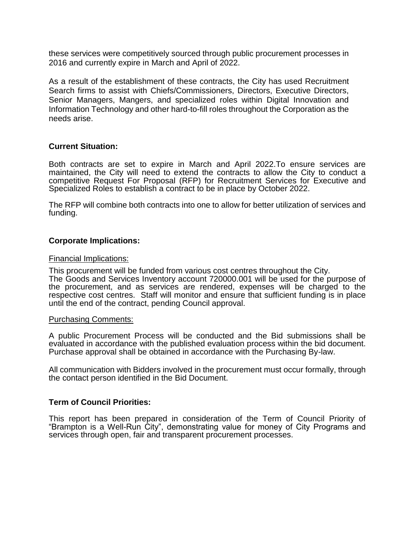these services were competitively sourced through public procurement processes in 2016 and currently expire in March and April of 2022.

As a result of the establishment of these contracts, the City has used Recruitment Search firms to assist with Chiefs/Commissioners, Directors, Executive Directors, Senior Managers, Mangers, and specialized roles within Digital Innovation and Information Technology and other hard-to-fill roles throughout the Corporation as the needs arise.

### **Current Situation:**

Both contracts are set to expire in March and April 2022.To ensure services are maintained, the City will need to extend the contracts to allow the City to conduct a competitive Request For Proposal (RFP) for Recruitment Services for Executive and Specialized Roles to establish a contract to be in place by October 2022.

The RFP will combine both contracts into one to allow for better utilization of services and funding.

### **Corporate Implications:**

#### Financial Implications:

This procurement will be funded from various cost centres throughout the City. The Goods and Services Inventory account 720000.001 will be used for the purpose of the procurement, and as services are rendered, expenses will be charged to the respective cost centres. Staff will monitor and ensure that sufficient funding is in place until the end of the contract, pending Council approval.

#### Purchasing Comments:

A public Procurement Process will be conducted and the Bid submissions shall be evaluated in accordance with the published evaluation process within the bid document. Purchase approval shall be obtained in accordance with the Purchasing By-law.

All communication with Bidders involved in the procurement must occur formally, through the contact person identified in the Bid Document.

### **Term of Council Priorities:**

This report has been prepared in consideration of the Term of Council Priority of "Brampton is a Well-Run City", demonstrating value for money of City Programs and services through open, fair and transparent procurement processes.